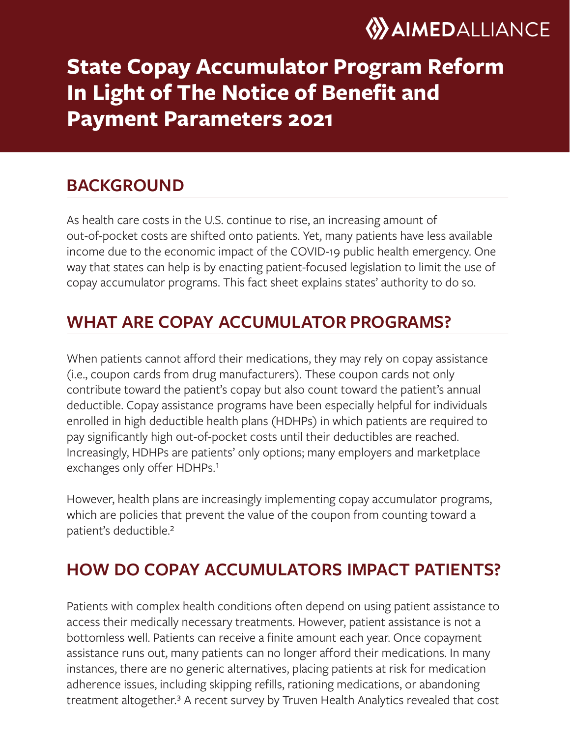

# **State Copay Accumulator Program Reform In Light of The Notice of Benefit and Payment Parameters 2021**

### **BACKGROUND**

As health care costs in the U.S. continue to rise, an increasing amount of out-of-pocket costs are shifted onto patients. Yet, many patients have less available income due to the economic impact of the COVID-19 public health emergency. One way that states can help is by enacting patient-focused legislation to limit the use of copay accumulator programs. This fact sheet explains states' authority to do so.

# **WHAT ARE COPAY ACCUMULATOR PROGRAMS?**

When patients cannot afford their medications, they may rely on copay assistance (i.e., coupon cards from drug manufacturers). These coupon cards not only contribute toward the patient's copay but also count toward the patient's annual deductible. Copay assistance programs have been especially helpful for individuals enrolled in high deductible health plans (HDHPs) in which patients are required to pay significantly high out-of-pocket costs until their deductibles are reached. Increasingly, HDHPs are patients' only options; many employers and marketplace exchanges only offer HDHPs.<sup>1</sup>

However, health plans are increasingly implementing copay accumulator programs, which are policies that prevent the value of the coupon from counting toward a patient's deductible.²

# **HOW DO COPAY ACCUMULATORS IMPACT PATIENTS?**

Patients with complex health conditions often depend on using patient assistance to access their medically necessary treatments. However, patient assistance is not a bottomless well. Patients can receive a finite amount each year. Once copayment assistance runs out, many patients can no longer afford their medications. In many instances, there are no generic alternatives, placing patients at risk for medication adherence issues, including skipping refills, rationing medications, or abandoning treatment altogether.<sup>3</sup> A recent survey by Truven Health Analytics revealed that cost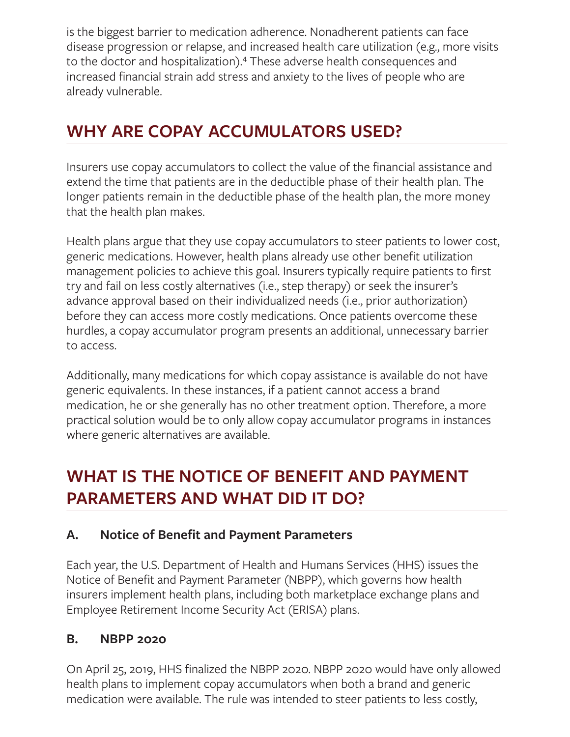is the biggest barrier to medication adherence. Nonadherent patients can face disease progression or relapse, and increased health care utilization (e.g., more visits to the doctor and hospitalization).<sup>4</sup> These adverse health consequences and increased financial strain add stress and anxiety to the lives of people who are already vulnerable.

# **WHY ARE COPAY ACCUMULATORS USED?**

Insurers use copay accumulators to collect the value of the financial assistance and extend the time that patients are in the deductible phase of their health plan. The longer patients remain in the deductible phase of the health plan, the more money that the health plan makes.

Health plans argue that they use copay accumulators to steer patients to lower cost, generic medications. However, health plans already use other benefit utilization management policies to achieve this goal. Insurers typically require patients to first try and fail on less costly alternatives (i.e., step therapy) or seek the insurer's advance approval based on their individualized needs (i.e., prior authorization) before they can access more costly medications. Once patients overcome these hurdles, a copay accumulator program presents an additional, unnecessary barrier to access.

Additionally, many medications for which copay assistance is available do not have generic equivalents. In these instances, if a patient cannot access a brand medication, he or she generally has no other treatment option. Therefore, a more practical solution would be to only allow copay accumulator programs in instances where generic alternatives are available.

# **WHAT IS THE NOTICE OF BENEFIT AND PAYMENT PARAMETERS AND WHAT DID IT DO?**

#### **A. Notice of Benefit and Payment Parameters**

Each year, the U.S. Department of Health and Humans Services (HHS) issues the Notice of Benefit and Payment Parameter (NBPP), which governs how health insurers implement health plans, including both marketplace exchange plans and Employee Retirement Income Security Act (ERISA) plans.

#### **B. NBPP 2020**

On April 25, 2019, HHS finalized the NBPP 2020. NBPP 2020 would have only allowed health plans to implement copay accumulators when both a brand and generic medication were available. The rule was intended to steer patients to less costly,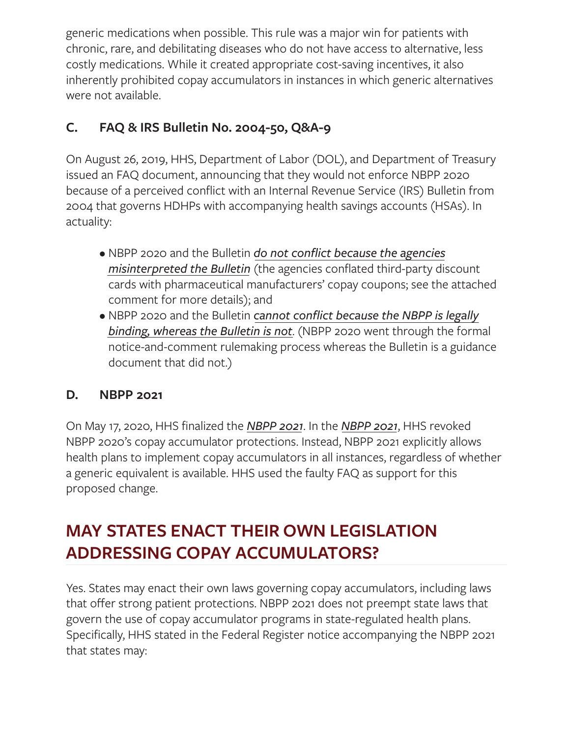generic medications when possible. This rule was a major win for patients with chronic, rare, and debilitating diseases who do not have access to alternative, less costly medications. While it created appropriate cost-saving incentives, it also inherently prohibited copay accumulators in instances in which generic alternatives were not available.

#### **C. FAQ & IRS Bulletin No. 2004-50, Q&A-9**

On August 26, 2019, HHS, Department of Labor (DOL), and Department of Treasury issued an FAQ document, announcing that they would not enforce NBPP 2020 because of a perceived conflict with an Internal Revenue Service (IRS) Bulletin from 2004 that governs HDHPs with accompanying health savings accounts (HSAs). In actuality:

- NBPP 2020 and the Bulletin *do not conflict because the agencies misinterpreted the Bulletin* (the agencies conflated third-party discount cards with pharmaceutical manufacturers' copay coupons; see the attached comment for more details); and
- NBPP 2020 and the Bulletin *cannot conflict because the NBPP is legally binding, whereas the Bulletin is not*. (NBPP 2020 went through the formal notice-and-comment rulemaking process whereas the Bulletin is a guidance document that did not.)

#### **D. NBPP 2021**

On May 17, 2020, HHS finalized the *NBPP 2021*. In the *NBPP 2021*, HHS revoked NBPP 2020's copay accumulator protections. Instead, NBPP 2021 explicitly allows health plans to implement copay accumulators in all instances, regardless of whether a generic equivalent is available. HHS used the faulty FAQ as support for this proposed change.

# **MAY STATES ENACT THEIR OWN LEGISLATION ADDRESSING COPAY ACCUMULATORS?**

Yes. States may enact their own laws governing copay accumulators, including laws that offer strong patient protections. NBPP 2021 does not preempt state laws that govern the use of copay accumulator programs in state-regulated health plans. Specifically, HHS stated in the Federal Register notice accompanying the NBPP 2021 that states may: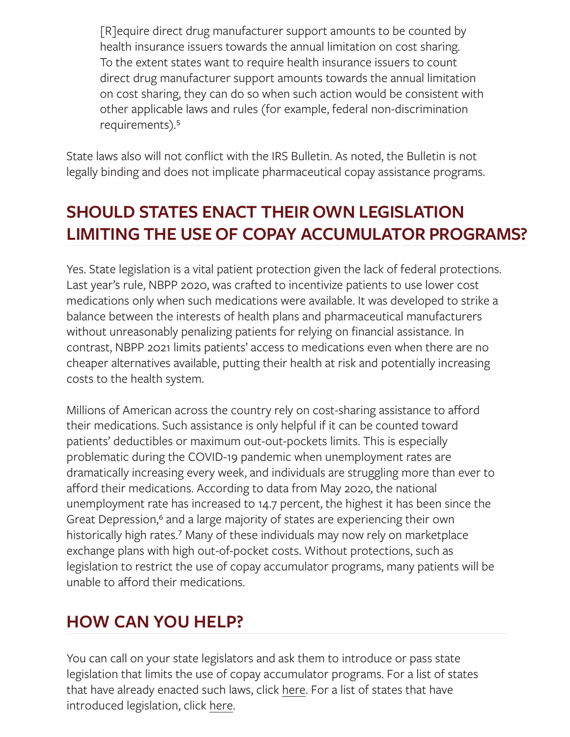[R]equire direct drug manufacturer support amounts to be counted by health insurance issuers towards the annual limitation on cost sharing. To the extent states want to require health insurance issuers to count direct drug manufacturer support amounts towards the annual limitation on cost sharing, they can do so when such action would be consistent with other applicable laws and rules (for example, federal non-discrimination requirements).<sup>5</sup>

State laws also will not conflict with the IRS Bulletin. As noted, the Bulletin is not legally binding and does not implicate pharmaceutical copay assistance programs.

# **SHOULD STATES ENACT THEIR OWN LEGISLATION LIMITING THE USE OF COPAY ACCUMULATOR PROGRAMS?**

Yes. State legislation is a vital patient protection given the lack of federal protections. Last year's rule, NBPP 2020, was crafted to incentivize patients to use lower cost medications only when such medications were available. It was developed to strike a balance between the interests of health plans and pharmaceutical manufacturers without unreasonably penalizing patients for relying on financial assistance. In contrast, NBPP 2021 limits patients' access to medications even when there are no cheaper alternatives available, putting their health at risk and potentially increasing costs to the health system.

Millions of American across the country rely on cost-sharing assistance to afford their medications. Such assistance is only helpful if it can be counted toward patients' deductibles or maximum out-out-pockets limits. This is especially problematic during the COVID-19 pandemic when unemployment rates are dramatically increasing every week, and individuals are struggling more than ever to afford their medications. According to data from May 2020, the national unemployment rate has increased to 14.7 percent, the highest it has been since the Great Depression,<sup>6</sup> and a large majority of states are experiencing their own historically high rates.<sup>7</sup> Many of these individuals may now rely on marketplace exchange plans with high out-of-pocket costs. Without protections, such as legislation to restrict the use of copay accumulator programs, many patients will be unable to afford their medications.

### **HOW CAN YOU HELP?**

You can call on your state legislators and ask them to introduce or pass state legislation that limits the use of copay accumulator programs. For a list of states that have already enacted such laws, click [here](https://aimedalliance.org/copay-accumulators-enacted-laws/). For a list of states that have introduced legislation, click [here](https://aimedalliance.org/copay-accumulators-active-legislation/).